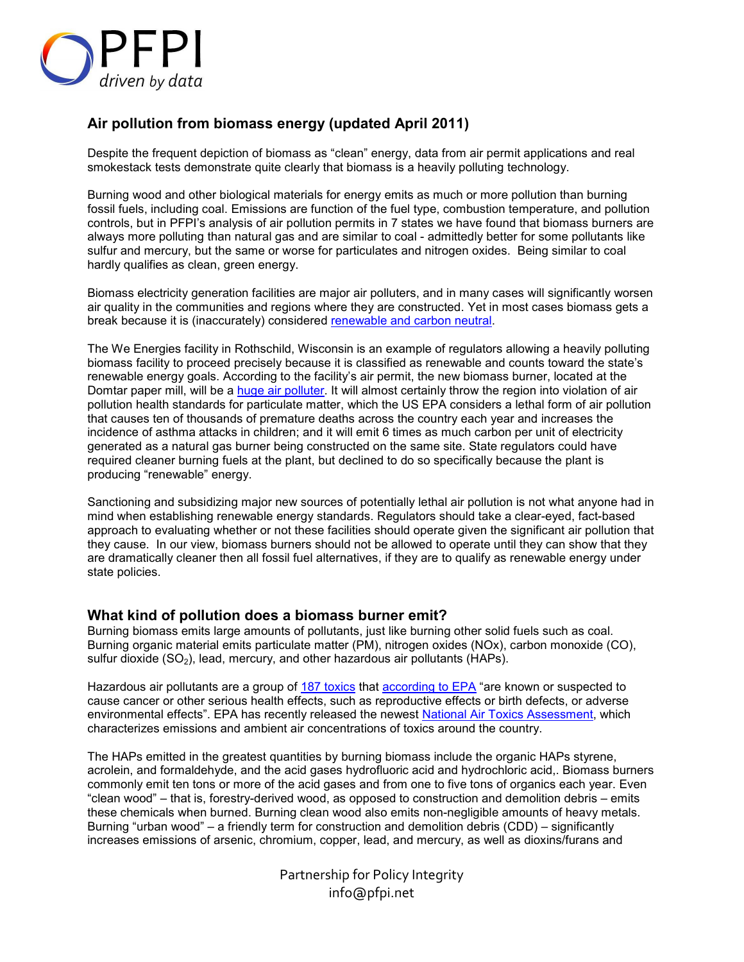

# **Air pollution from biomass energy (updated April 2011)**

Despite the frequent depiction of biomass as "clean" energy, data from air permit applications and real smokestack tests demonstrate quite clearly that biomass is a heavily polluting technology.

Burning wood and other biological materials for energy emits as much or more pollution than burning fossil fuels, including coal. Emissions are function of the fuel type, combustion temperature, and pollution controls, but in PFPI's analysis of air pollution permits in 7 states we have found that biomass burners are always more polluting than natural gas and are similar to coal - admittedly better for some pollutants like sulfur and mercury, but the same or worse for particulates and nitrogen oxides. Being similar to coal hardly qualifies as clean, green energy.

Biomass electricity generation facilities are major air polluters, and in many cases will significantly worsen air quality in the communities and regions where they are constructed. Yet in most cases biomass gets a break because it is (inaccurately) considered renewable and carbon neutral.

The We Energies facility in Rothschild, Wisconsin is an example of regulators allowing a heavily polluting biomass facility to proceed precisely because it is classified as renewable and counts toward the state's renewable energy goals. According to the facility's air permit, the new biomass burner, located at the Domtar paper mill, will be a huge air polluter. It will almost certainly throw the region into violation of air pollution health standards for particulate matter, which the US EPA considers a lethal form of air pollution that causes ten of thousands of premature deaths across the country each year and increases the incidence of asthma attacks in children; and it will emit 6 times as much carbon per unit of electricity generated as a natural gas burner being constructed on the same site. State regulators could have required cleaner burning fuels at the plant, but declined to do so specifically because the plant is producing "renewable" energy.

Sanctioning and subsidizing major new sources of potentially lethal air pollution is not what anyone had in mind when establishing renewable energy standards. Regulators should take a clear-eyed, fact-based approach to evaluating whether or not these facilities should operate given the significant air pollution that they cause. In our view, biomass burners should not be allowed to operate until they can show that they are dramatically cleaner then all fossil fuel alternatives, if they are to qualify as renewable energy under state policies.

# **What kind of pollution does a biomass burner emit?**

Burning biomass emits large amounts of pollutants, just like burning other solid fuels such as coal. Burning organic material emits particulate matter (PM), nitrogen oxides (NOx), carbon monoxide (CO), sulfur dioxide  $(SO<sub>2</sub>)$ , lead, mercury, and other hazardous air pollutants (HAPs).

Hazardous air pollutants are a group of 187 toxics that according to EPA "are known or suspected to cause cancer or other serious health effects, such as reproductive effects or birth defects, or adverse environmental effects". EPA has recently released the newest National Air Toxics Assessment, which characterizes emissions and ambient air concentrations of toxics around the country.

The HAPs emitted in the greatest quantities by burning biomass include the organic HAPs styrene, acrolein, and formaldehyde, and the acid gases hydrofluoric acid and hydrochloric acid,. Biomass burners commonly emit ten tons or more of the acid gases and from one to five tons of organics each year. Even "clean wood" – that is, forestry-derived wood, as opposed to construction and demolition debris – emits these chemicals when burned. Burning clean wood also emits non-negligible amounts of heavy metals. Burning "urban wood" – a friendly term for construction and demolition debris (CDD) – significantly increases emissions of arsenic, chromium, copper, lead, and mercury, as well as dioxins/furans and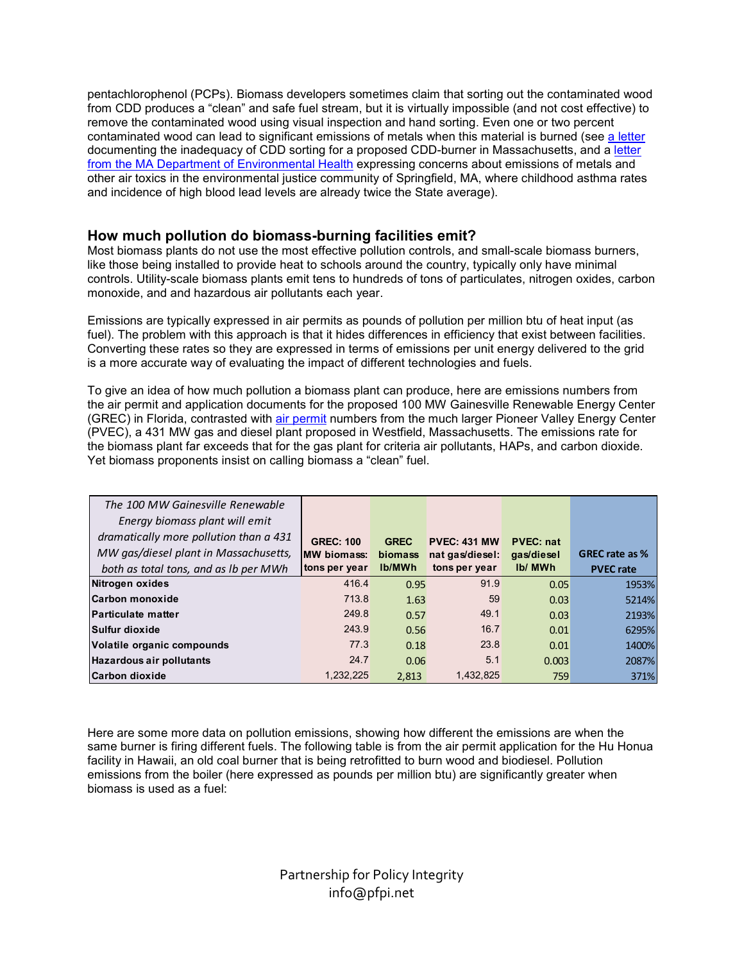pentachlorophenol (PCPs). Biomass developers sometimes claim that sorting out the contaminated wood from CDD produces a "clean" and safe fuel stream, but it is virtually impossible (and not cost effective) to remove the contaminated wood using visual inspection and hand sorting. Even one or two percent contaminated wood can lead to significant emissions of metals when this material is burned (see a letter documenting the inadequacy of CDD sorting for a proposed CDD-burner in Massachusetts, and a letter from the MA Department of Environmental Health expressing concerns about emissions of metals and other air toxics in the environmental justice community of Springfield, MA, where childhood asthma rates and incidence of high blood lead levels are already twice the State average).

# **How much pollution do biomass-burning facilities emit?**

Most biomass plants do not use the most effective pollution controls, and small-scale biomass burners, like those being installed to provide heat to schools around the country, typically only have minimal controls. Utility-scale biomass plants emit tens to hundreds of tons of particulates, nitrogen oxides, carbon monoxide, and and hazardous air pollutants each year.

Emissions are typically expressed in air permits as pounds of pollution per million btu of heat input (as fuel). The problem with this approach is that it hides differences in efficiency that exist between facilities. Converting these rates so they are expressed in terms of emissions per unit energy delivered to the grid is a more accurate way of evaluating the impact of different technologies and fuels.

To give an idea of how much pollution a biomass plant can produce, here are emissions numbers from the air permit and application documents for the proposed 100 MW Gainesville Renewable Energy Center (GREC) in Florida, contrasted with air permit numbers from the much larger Pioneer Valley Energy Center (PVEC), a 431 MW gas and diesel plant proposed in Westfield, Massachusetts. The emissions rate for the biomass plant far exceeds that for the gas plant for criteria air pollutants, HAPs, and carbon dioxide. Yet biomass proponents insist on calling biomass a "clean" fuel.

| The 100 MW Gainesville Renewable<br>Energy biomass plant will emit |                     |                |                     |                  |                       |
|--------------------------------------------------------------------|---------------------|----------------|---------------------|------------------|-----------------------|
| dramatically more pollution than a 431                             | <b>GREC: 100</b>    | <b>GREC</b>    | <b>PVEC: 431 MW</b> | <b>PVEC: nat</b> |                       |
| MW gas/diesel plant in Massachusetts,                              | <b>IMW biomass:</b> | <b>biomass</b> | nat gas/diesel:     | gas/diesel       | <b>GREC rate as %</b> |
| both as total tons, and as Ib per MWh                              | tons per year       | <b>Ib/MWh</b>  | tons per year       | Ib/ MWh          | <b>PVEC rate</b>      |
| Nitrogen oxides                                                    | 416.4               | 0.95           | 91.9                | 0.05             | 1953%                 |
| Carbon monoxide                                                    | 713.8               | 1.63           | 59                  | 0.03             | 5214%                 |
| <b>Particulate matter</b>                                          | 249.8               | 0.57           | 49.1                | 0.03             | 2193%                 |
| Sulfur dioxide                                                     | 243.9               | 0.56           | 16.7                | 0.01             | 6295%                 |
| Volatile organic compounds                                         | 77.3                | 0.18           | 23.8                | 0.01             | 1400%                 |
| <b>Hazardous air pollutants</b>                                    | 24.7                | 0.06           | 5.1                 | 0.003            | 2087%                 |
| <b>Carbon dioxide</b>                                              | 1.232.225           | 2.813          | 1,432,825           | 759              | 371%                  |

Here are some more data on pollution emissions, showing how different the emissions are when the same burner is firing different fuels. The following table is from the air permit application for the Hu Honua facility in Hawaii, an old coal burner that is being retrofitted to burn wood and biodiesel. Pollution emissions from the boiler (here expressed as pounds per million btu) are significantly greater when biomass is used as a fuel: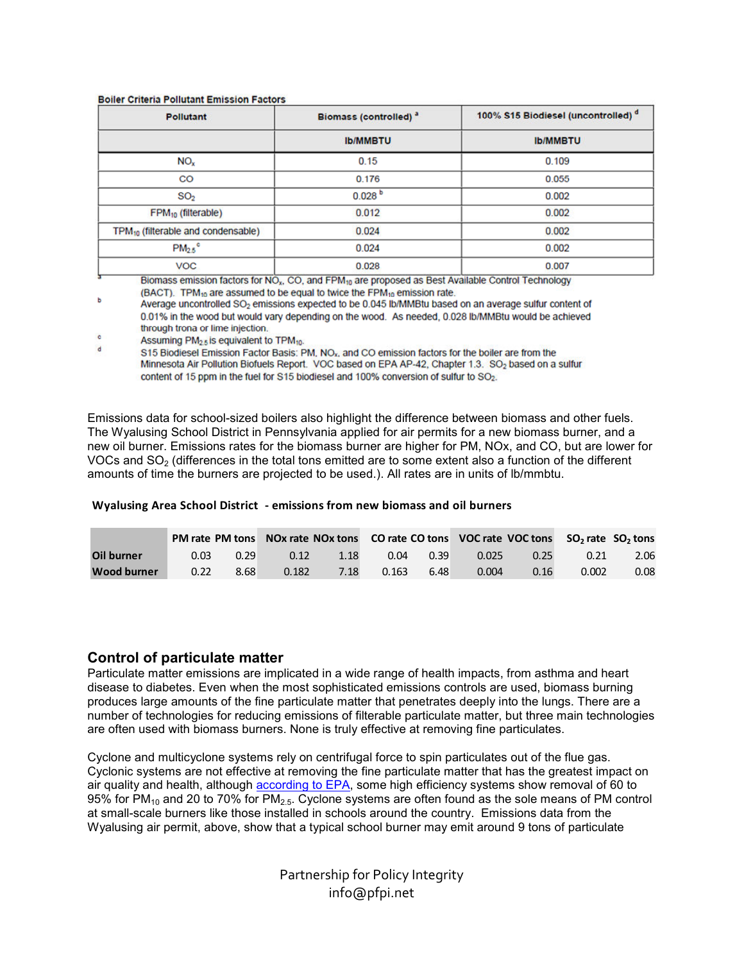| <b>Pollutant</b>                               | <b>Biomass (controlled)</b> a | 100% S15 Biodiesel (uncontrolled) <sup>d</sup> |  |  |
|------------------------------------------------|-------------------------------|------------------------------------------------|--|--|
|                                                | <b>Ib/MMBTU</b>               | <b>Ib/MMBTU</b>                                |  |  |
| NO <sub>x</sub>                                | 0.15                          | 0.109                                          |  |  |
| CO                                             | 0.176                         | 0.055                                          |  |  |
| SO <sub>2</sub>                                | 0.028 <sup>b</sup>            | 0.002                                          |  |  |
| FPM <sub>10</sub> (filterable)                 | 0.012                         | 0.002                                          |  |  |
| TPM <sub>10</sub> (filterable and condensable) | 0.024                         | 0.002                                          |  |  |
| $PM_{2.5}$ °                                   | 0.024                         | 0.002                                          |  |  |
| <b>VOC</b>                                     | 0.028                         | 0.007                                          |  |  |
|                                                |                               |                                                |  |  |

#### **Boiler Criteria Pollutant Emission Factors**

Biomass emission factors for NO<sub>x</sub>, CO, and FPM<sub>10</sub> are proposed as Best Available Control Technology (BACT). TPM<sub>10</sub> are assumed to be equal to twice the FPM<sub>10</sub> emission rate.

Average uncontrolled SO<sub>2</sub> emissions expected to be 0.045 lb/MMBtu based on an average sulfur content of 0.01% in the wood but would vary depending on the wood. As needed, 0.028 lb/MMBtu would be achieved through trona or lime injection.

Assuming PM<sub>2.5</sub> is equivalent to TPM<sub>10</sub>.  $\mathbf d$ 

S15 Biodiesel Emission Factor Basis: PM, NO<sub>x</sub>, and CO emission factors for the boiler are from the Minnesota Air Pollution Biofuels Report. VOC based on EPA AP-42, Chapter 1.3. SO<sub>2</sub> based on a sulfur content of 15 ppm in the fuel for S15 biodiesel and 100% conversion of sulfur to SO<sub>2</sub>.

Emissions data for school-sized boilers also highlight the difference between biomass and other fuels. The Wyalusing School District in Pennsylvania applied for air permits for a new biomass burner, and a new oil burner. Emissions rates for the biomass burner are higher for PM, NOx, and CO, but are lower for VOCs and  $SO<sub>2</sub>$  (differences in the total tons emitted are to some extent also a function of the different amounts of time the burners are projected to be used.). All rates are in units of lb/mmbtu.

### **Wyalusing Area School District - emissions from new biomass and oil burners**

|                   |                   |      | PM rate PM tons NOx rate NOx tons CO rate CO tons VOC rate VOC tons SO <sub>2</sub> rate SO <sub>2</sub> tons |      |       |      |       |      |       |      |
|-------------------|-------------------|------|---------------------------------------------------------------------------------------------------------------|------|-------|------|-------|------|-------|------|
| <b>Oil burner</b> | 0.03 <sub>1</sub> | 0.29 | 0.12                                                                                                          | 1.18 | 0.04  | 0.39 | 0.025 | 0.25 | 0.21  | 2.06 |
| Wood burner       | 0.22              | 8.68 | 0.182                                                                                                         | 7.18 | 0.163 | 6.48 | 0.004 | 0.16 | 0.002 | 0.08 |

### **Control of particulate matter**

Particulate matter emissions are implicated in a wide range of health impacts, from asthma and heart disease to diabetes. Even when the most sophisticated emissions controls are used, biomass burning produces large amounts of the fine particulate matter that penetrates deeply into the lungs. There are a number of technologies for reducing emissions of filterable particulate matter, but three main technologies are often used with biomass burners. None is truly effective at removing fine particulates.

Cyclone and multicyclone systems rely on centrifugal force to spin particulates out of the flue gas. Cyclonic systems are not effective at removing the fine particulate matter that has the greatest impact on air quality and health, although according to EPA, some high efficiency systems show removal of 60 to 95% for PM<sub>10</sub> and 20 to 70% for PM<sub>2.5</sub>. Cyclone systems are often found as the sole means of PM control at small-scale burners like those installed in schools around the country. Emissions data from the Wyalusing air permit, above, show that a typical school burner may emit around 9 tons of particulate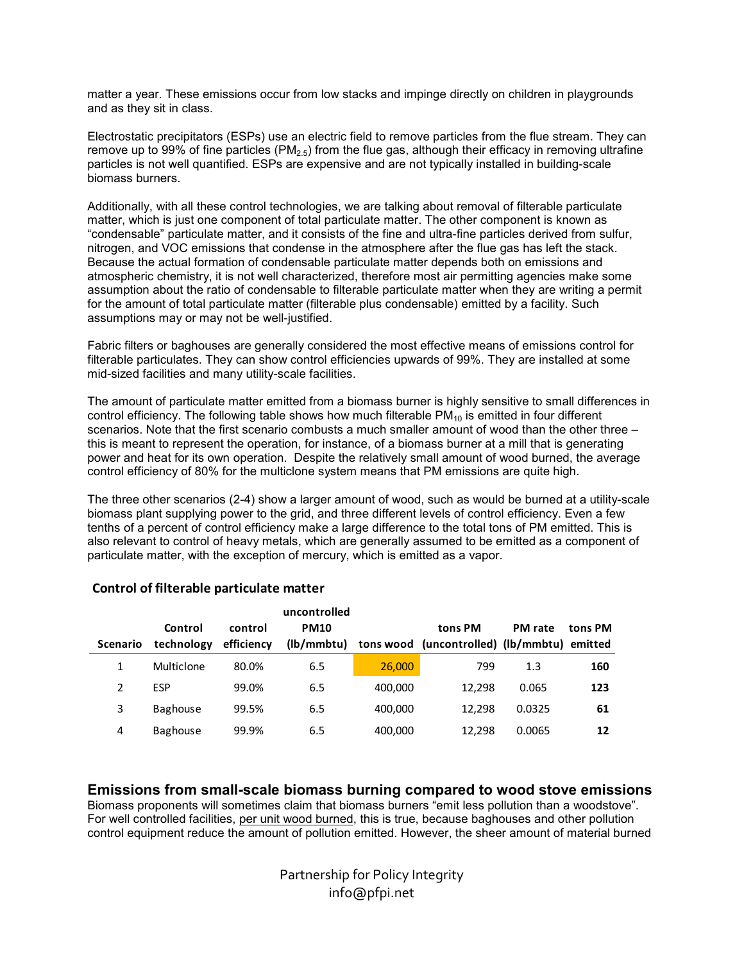matter a year. These emissions occur from low stacks and impinge directly on children in playgrounds and as they sit in class.

Electrostatic precipitators (ESPs) use an electric field to remove particles from the flue stream. They can remove up to 99% of fine particles ( $PM<sub>2.5</sub>$ ) from the flue gas, although their efficacy in removing ultrafine particles is not well quantified. ESPs are expensive and are not typically installed in building-scale biomass burners.

Additionally, with all these control technologies, we are talking about removal of filterable particulate matter, which is just one component of total particulate matter. The other component is known as "condensable" particulate matter, and it consists of the fine and ultra-fine particles derived from sulfur, nitrogen, and VOC emissions that condense in the atmosphere after the flue gas has left the stack. Because the actual formation of condensable particulate matter depends both on emissions and atmospheric chemistry, it is not well characterized, therefore most air permitting agencies make some assumption about the ratio of condensable to filterable particulate matter when they are writing a permit for the amount of total particulate matter (filterable plus condensable) emitted by a facility. Such assumptions may or may not be well-justified.

Fabric filters or baghouses are generally considered the most effective means of emissions control for filterable particulates. They can show control efficiencies upwards of 99%. They are installed at some mid-sized facilities and many utility-scale facilities.

The amount of particulate matter emitted from a biomass burner is highly sensitive to small differences in control efficiency. The following table shows how much filterable  $PM_{10}$  is emitted in four different scenarios. Note that the first scenario combusts a much smaller amount of wood than the other three – this is meant to represent the operation, for instance, of a biomass burner at a mill that is generating power and heat for its own operation. Despite the relatively small amount of wood burned, the average control efficiency of 80% for the multiclone system means that PM emissions are quite high.

The three other scenarios (2-4) show a larger amount of wood, such as would be burned at a utility-scale biomass plant supplying power to the grid, and three different levels of control efficiency. Even a few tenths of a percent of control efficiency make a large difference to the total tons of PM emitted. This is also relevant to control of heavy metals, which are generally assumed to be emitted as a component of particulate matter, with the exception of mercury, which is emitted as a vapor.

|                 |                 |            | uncontrolled |         |                                             |                |         |
|-----------------|-----------------|------------|--------------|---------|---------------------------------------------|----------------|---------|
|                 | Control         | control    | <b>PM10</b>  |         | tons PM                                     | <b>PM</b> rate | tons PM |
| <b>Scenario</b> | technology      | efficiency | (lb/mmbtu)   |         | tons wood (uncontrolled) (lb/mmbtu) emitted |                |         |
|                 | Multiclone      | 80.0%      | 6.5          | 26,000  | 799                                         | 1.3            | 160     |
| 2               | <b>ESP</b>      | 99.0%      | 6.5          | 400.000 | 12.298                                      | 0.065          | 123     |
| 3               | Baghouse        | 99.5%      | 6.5          | 400.000 | 12.298                                      | 0.0325         | 61      |
| 4               | <b>Baghouse</b> | 99.9%      | 6.5          | 400,000 | 12.298                                      | 0.0065         | 12      |

# **Control of filterable particulate matter**

**Emissions from small-scale biomass burning compared to wood stove emissions** 

Biomass proponents will sometimes claim that biomass burners "emit less pollution than a woodstove". For well controlled facilities, per unit wood burned, this is true, because baghouses and other pollution control equipment reduce the amount of pollution emitted. However, the sheer amount of material burned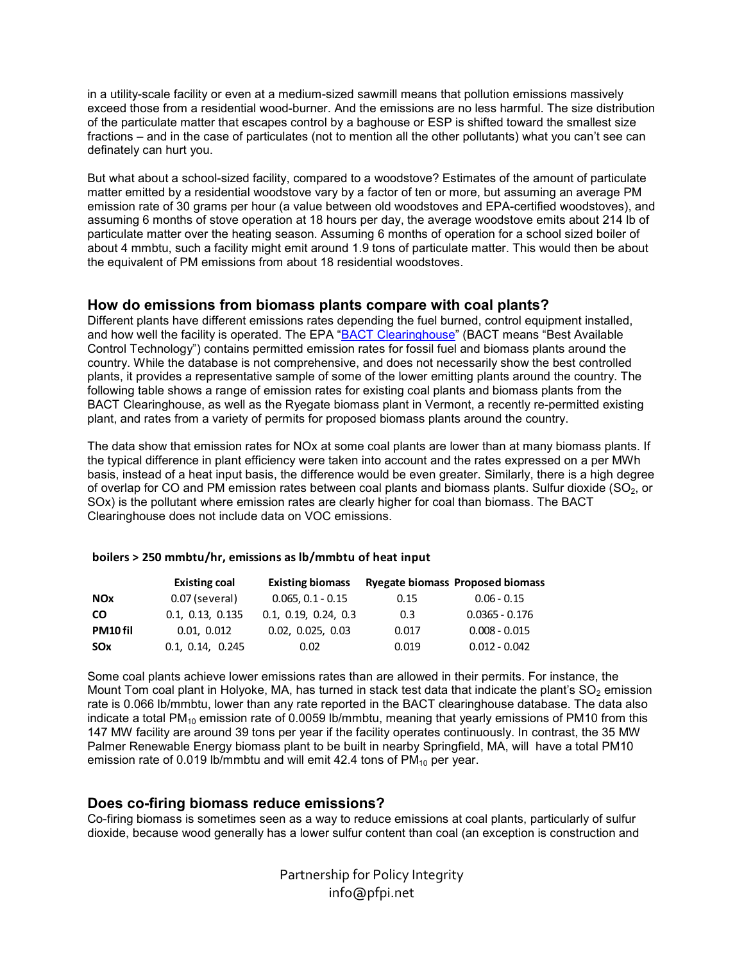in a utility-scale facility or even at a medium-sized sawmill means that pollution emissions massively exceed those from a residential wood-burner. And the emissions are no less harmful. The size distribution of the particulate matter that escapes control by a baghouse or ESP is shifted toward the smallest size fractions – and in the case of particulates (not to mention all the other pollutants) what you can't see can definately can hurt you.

But what about a school-sized facility, compared to a woodstove? Estimates of the amount of particulate matter emitted by a residential woodstove vary by a factor of ten or more, but assuming an average PM emission rate of 30 grams per hour (a value between old woodstoves and EPA-certified woodstoves), and assuming 6 months of stove operation at 18 hours per day, the average woodstove emits about 214 lb of particulate matter over the heating season. Assuming 6 months of operation for a school sized boiler of about 4 mmbtu, such a facility might emit around 1.9 tons of particulate matter. This would then be about the equivalent of PM emissions from about 18 residential woodstoves.

### **How do emissions from biomass plants compare with coal plants?**

Different plants have different emissions rates depending the fuel burned, control equipment installed, and how well the facility is operated. The EPA "BACT Clearinghouse" (BACT means "Best Available Control Technology") contains permitted emission rates for fossil fuel and biomass plants around the country. While the database is not comprehensive, and does not necessarily show the best controlled plants, it provides a representative sample of some of the lower emitting plants around the country. The following table shows a range of emission rates for existing coal plants and biomass plants from the BACT Clearinghouse, as well as the Ryegate biomass plant in Vermont, a recently re-permitted existing plant, and rates from a variety of permits for proposed biomass plants around the country.

The data show that emission rates for NOx at some coal plants are lower than at many biomass plants. If the typical difference in plant efficiency were taken into account and the rates expressed on a per MWh basis, instead of a heat input basis, the difference would be even greater. Similarly, there is a high degree of overlap for CO and PM emission rates between coal plants and biomass plants. Sulfur dioxide (SO<sub>2</sub>, or SOx) is the pollutant where emission rates are clearly higher for coal than biomass. The BACT Clearinghouse does not include data on VOC emissions.

### **boilers > 250 mmbtu/hr, emissions as lb/mmbtu of heat input**

|                | <b>Existing coal</b> | <b>Existing biomass</b> |       | <b>Ryegate biomass Proposed biomass</b> |
|----------------|----------------------|-------------------------|-------|-----------------------------------------|
| <b>NOx</b>     | 0.07 (several)       | $0.065, 0.1 - 0.15$     | 0.15  | $0.06 - 0.15$                           |
| <b>CO</b>      | 0.1, 0.13, 0.135     | 0.1, 0.19, 0.24, 0.3    | 0.3   | $0.0365 - 0.176$                        |
| <b>PM10fil</b> | 0.01, 0.012          | 0.02, 0.025, 0.03       | 0.017 | $0.008 - 0.015$                         |
| <b>SOx</b>     | 0.1, 0.14, 0.245     | 0.02                    | 0.019 | $0.012 - 0.042$                         |

Some coal plants achieve lower emissions rates than are allowed in their permits. For instance, the Mount Tom coal plant in Holyoke, MA, has turned in stack test data that indicate the plant's  $SO<sub>2</sub>$  emission rate is 0.066 lb/mmbtu, lower than any rate reported in the BACT clearinghouse database. The data also indicate a total PM<sub>10</sub> emission rate of 0.0059 lb/mmbtu, meaning that yearly emissions of PM10 from this 147 MW facility are around 39 tons per year if the facility operates continuously. In contrast, the 35 MW Palmer Renewable Energy biomass plant to be built in nearby Springfield, MA, will have a total PM10 emission rate of 0.019 lb/mmbtu and will emit 42.4 tons of  $PM_{10}$  per year.

### **Does co-firing biomass reduce emissions?**

Co-firing biomass is sometimes seen as a way to reduce emissions at coal plants, particularly of sulfur dioxide, because wood generally has a lower sulfur content than coal (an exception is construction and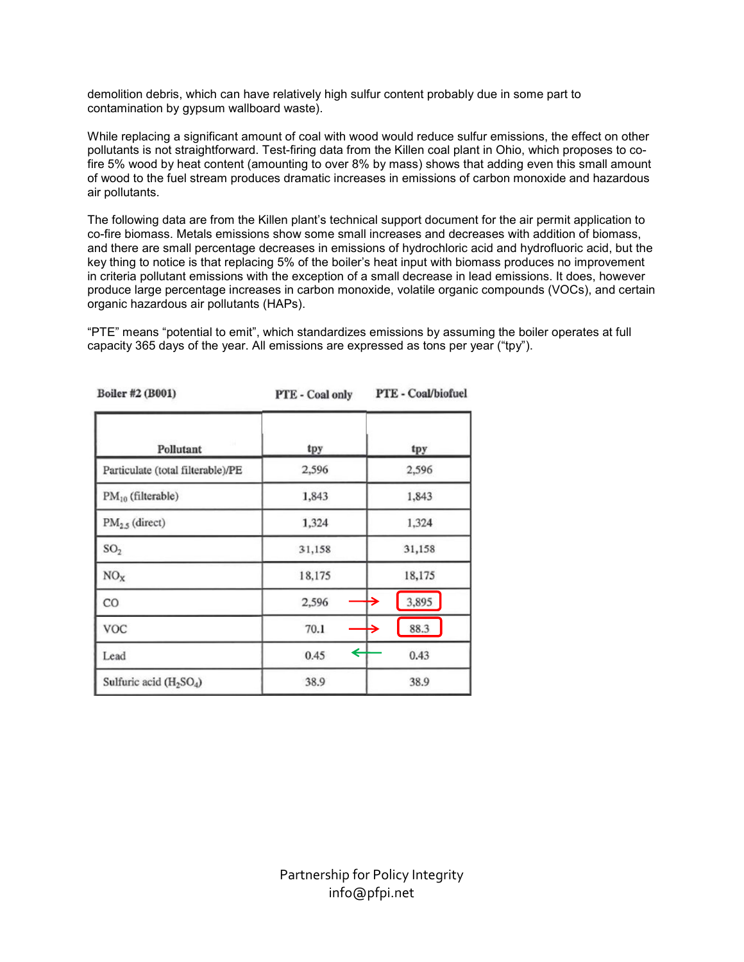demolition debris, which can have relatively high sulfur content probably due in some part to contamination by gypsum wallboard waste).

While replacing a significant amount of coal with wood would reduce sulfur emissions, the effect on other pollutants is not straightforward. Test-firing data from the Killen coal plant in Ohio, which proposes to cofire 5% wood by heat content (amounting to over 8% by mass) shows that adding even this small amount of wood to the fuel stream produces dramatic increases in emissions of carbon monoxide and hazardous air pollutants.

The following data are from the Killen plant's technical support document for the air permit application to co-fire biomass. Metals emissions show some small increases and decreases with addition of biomass, and there are small percentage decreases in emissions of hydrochloric acid and hydrofluoric acid, but the key thing to notice is that replacing 5% of the boiler's heat input with biomass produces no improvement in criteria pollutant emissions with the exception of a small decrease in lead emissions. It does, however produce large percentage increases in carbon monoxide, volatile organic compounds (VOCs), and certain organic hazardous air pollutants (HAPs).

"PTE" means "potential to emit", which standardizes emissions by assuming the boiler operates at full capacity 365 days of the year. All emissions are expressed as tons per year ("tpy").

| <b>ВОПСТ #7 (BOOT)</b>            | <b>PTE - Coal only</b> | <b>FIE-Coal/piorner</b> |
|-----------------------------------|------------------------|-------------------------|
| Pollutant                         | tpy                    | tpy                     |
| Particulate (total filterable)/PE | 2,596                  | 2,596                   |
| PM <sub>10</sub> (filterable)     | 1,843                  | 1,843                   |
| $PM_{2.5}$ (direct)               | 1,324                  | 1,324                   |
| SO <sub>2</sub>                   | 31,158                 | 31,158                  |
| NO <sub>x</sub>                   | 18,175                 | 18,175                  |
| CO                                | 2,596                  | 3,895<br>→              |
| VOC                               | 70.1                   | 88.3<br>→               |
| Lead                              | ←<br>0.45              | 0.43                    |
| Sulfuric acid $(H_2SO_4)$         | 38.9                   | 38.9                    |

 $D - B - H2$  (*DAA<sup>4</sup>)* 

 $norm = 0.1111...$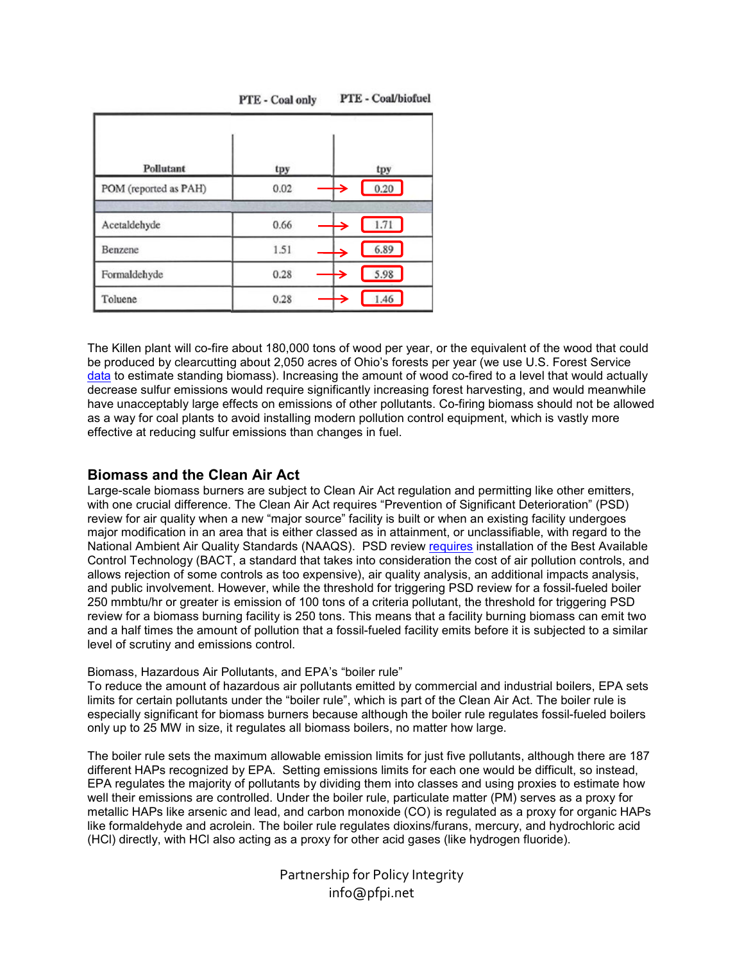| Pollutant             |             |                              |
|-----------------------|-------------|------------------------------|
| POM (reported as PAH) | tpy<br>0.02 | tpy<br>$\rightarrow$<br>0.20 |
| Acetaldehyde          | 0.66        | →<br>1.71                    |
| Benzene               | 1.51        | 6.89<br>→                    |
| Formaldehyde          | 0.28        | 5.98<br>$\rightarrow$        |
| Toluene               | 0.28        | ∍<br>1.46                    |

PTE - Coal/biofuel PTE - Coal only

The Killen plant will co-fire about 180,000 tons of wood per year, or the equivalent of the wood that could be produced by clearcutting about 2,050 acres of Ohio's forests per year (we use U.S. Forest Service data to estimate standing biomass). Increasing the amount of wood co-fired to a level that would actually decrease sulfur emissions would require significantly increasing forest harvesting, and would meanwhile have unacceptably large effects on emissions of other pollutants. Co-firing biomass should not be allowed as a way for coal plants to avoid installing modern pollution control equipment, which is vastly more effective at reducing sulfur emissions than changes in fuel.

# **Biomass and the Clean Air Act**

Large-scale biomass burners are subject to Clean Air Act regulation and permitting like other emitters, with one crucial difference. The Clean Air Act requires "Prevention of Significant Deterioration" (PSD) review for air quality when a new "major source" facility is built or when an existing facility undergoes major modification in an area that is either classed as in attainment, or unclassifiable, with regard to the National Ambient Air Quality Standards (NAAQS). PSD review requires installation of the Best Available Control Technology (BACT, a standard that takes into consideration the cost of air pollution controls, and allows rejection of some controls as too expensive), air quality analysis, an additional impacts analysis, and public involvement. However, while the threshold for triggering PSD review for a fossil-fueled boiler 250 mmbtu/hr or greater is emission of 100 tons of a criteria pollutant, the threshold for triggering PSD review for a biomass burning facility is 250 tons. This means that a facility burning biomass can emit two and a half times the amount of pollution that a fossil-fueled facility emits before it is subjected to a similar level of scrutiny and emissions control.

### Biomass, Hazardous Air Pollutants, and EPA's "boiler rule"

To reduce the amount of hazardous air pollutants emitted by commercial and industrial boilers, EPA sets limits for certain pollutants under the "boiler rule", which is part of the Clean Air Act. The boiler rule is especially significant for biomass burners because although the boiler rule regulates fossil-fueled boilers only up to 25 MW in size, it regulates all biomass boilers, no matter how large.

The boiler rule sets the maximum allowable emission limits for just five pollutants, although there are 187 different HAPs recognized by EPA. Setting emissions limits for each one would be difficult, so instead, EPA regulates the majority of pollutants by dividing them into classes and using proxies to estimate how well their emissions are controlled. Under the boiler rule, particulate matter (PM) serves as a proxy for metallic HAPs like arsenic and lead, and carbon monoxide (CO) is regulated as a proxy for organic HAPs like formaldehyde and acrolein. The boiler rule regulates dioxins/furans, mercury, and hydrochloric acid (HCl) directly, with HCl also acting as a proxy for other acid gases (like hydrogen fluoride).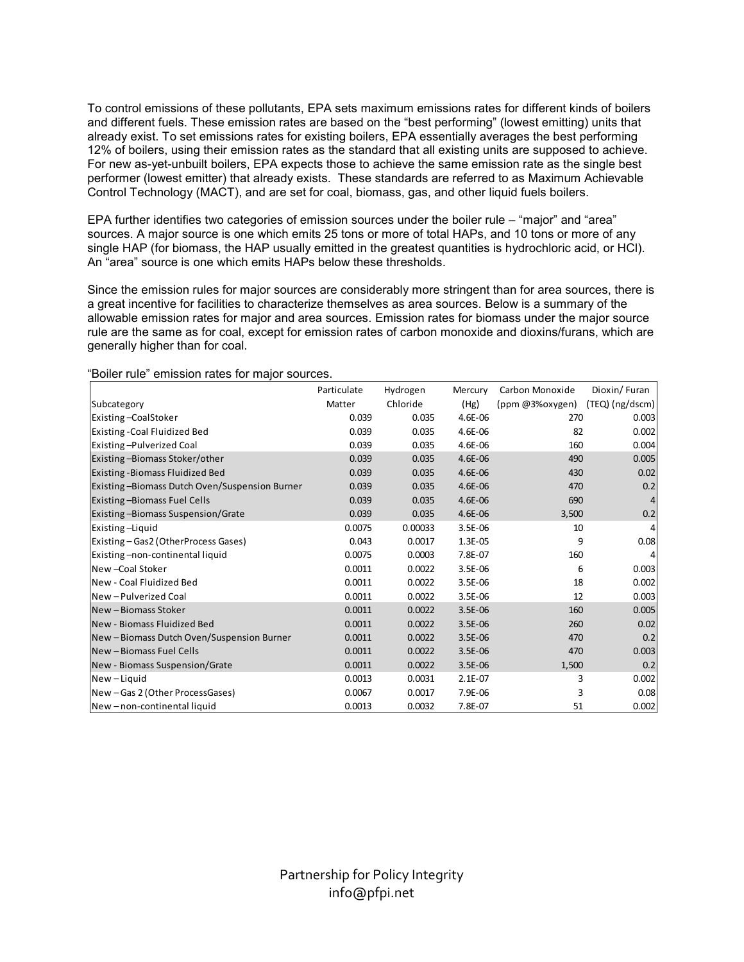To control emissions of these pollutants, EPA sets maximum emissions rates for different kinds of boilers and different fuels. These emission rates are based on the "best performing" (lowest emitting) units that already exist. To set emissions rates for existing boilers, EPA essentially averages the best performing 12% of boilers, using their emission rates as the standard that all existing units are supposed to achieve. For new as-yet-unbuilt boilers, EPA expects those to achieve the same emission rate as the single best performer (lowest emitter) that already exists. These standards are referred to as Maximum Achievable Control Technology (MACT), and are set for coal, biomass, gas, and other liquid fuels boilers.

EPA further identifies two categories of emission sources under the boiler rule – "major" and "area" sources. A major source is one which emits 25 tons or more of total HAPs, and 10 tons or more of any single HAP (for biomass, the HAP usually emitted in the greatest quantities is hydrochloric acid, or HCl). An "area" source is one which emits HAPs below these thresholds.

Since the emission rules for major sources are considerably more stringent than for area sources, there is a great incentive for facilities to characterize themselves as area sources. Below is a summary of the allowable emission rates for major and area sources. Emission rates for biomass under the major source rule are the same as for coal, except for emission rates of carbon monoxide and dioxins/furans, which are generally higher than for coal.

|                                               | Particulate | Hydrogen | Mercury   | Carbon Monoxide | Dioxin/Furan      |
|-----------------------------------------------|-------------|----------|-----------|-----------------|-------------------|
| Subcategory                                   | Matter      | Chloride | (Hg)      | (ppm @3%oxygen) | $(TEQ)$ (ng/dscm) |
| <b>Existing-CoalStoker</b>                    | 0.039       | 0.035    | 4.6E-06   | 270             | 0.003             |
| Existing - Coal Fluidized Bed                 | 0.039       | 0.035    | 4.6E-06   | 82              | 0.002             |
| Existing-Pulverized Coal                      | 0.039       | 0.035    | 4.6E-06   | 160             | 0.004             |
| Existing-Biomass Stoker/other                 | 0.039       | 0.035    | 4.6E-06   | 490             | 0.005             |
| Existing - Biomass Fluidized Bed              | 0.039       | 0.035    | 4.6E-06   | 430             | 0.02              |
| Existing-Biomass Dutch Oven/Suspension Burner | 0.039       | 0.035    | 4.6E-06   | 470             | 0.2               |
| <b>Existing-Biomass Fuel Cells</b>            | 0.039       | 0.035    | 4.6E-06   | 690             | 4                 |
| <b>Existing-Biomass Suspension/Grate</b>      | 0.039       | 0.035    | 4.6E-06   | 3,500           | 0.2               |
| Existing -Liquid                              | 0.0075      | 0.00033  | 3.5E-06   | 10              | 4                 |
| Existing - Gas2 (OtherProcess Gases)          | 0.043       | 0.0017   | $1.3E-05$ | 9               | 0.08              |
| Existing-non-continental liquid               | 0.0075      | 0.0003   | 7.8E-07   | 160             |                   |
| New - Coal Stoker                             | 0.0011      | 0.0022   | 3.5E-06   | 6               | 0.003             |
| <b>I</b> New - Coal Fluidized Bed             | 0.0011      | 0.0022   | 3.5E-06   | 18              | 0.002             |
| New - Pulverized Coal                         | 0.0011      | 0.0022   | $3.5E-06$ | 12              | 0.003             |
| New - Biomass Stoker                          | 0.0011      | 0.0022   | 3.5E-06   | 160             | 0.005             |
| New - Biomass Fluidized Bed                   | 0.0011      | 0.0022   | 3.5E-06   | 260             | 0.02              |
| New - Biomass Dutch Oven/Suspension Burner    | 0.0011      | 0.0022   | 3.5E-06   | 470             | 0.2               |
| New - Biomass Fuel Cells                      | 0.0011      | 0.0022   | 3.5E-06   | 470             | 0.003             |
| New - Biomass Suspension/Grate                | 0.0011      | 0.0022   | $3.5E-06$ | 1,500           | 0.2               |
| New-Liquid                                    | 0.0013      | 0.0031   | $2.1E-07$ | 3               | 0.002             |
| New-Gas 2 (Other ProcessGases)                | 0.0067      | 0.0017   | 7.9E-06   | 3               | 0.08              |
| New-non-continental liquid                    | 0.0013      | 0.0032   | 7.8E-07   | 51              | 0.002             |

"Boiler rule" emission rates for major sources.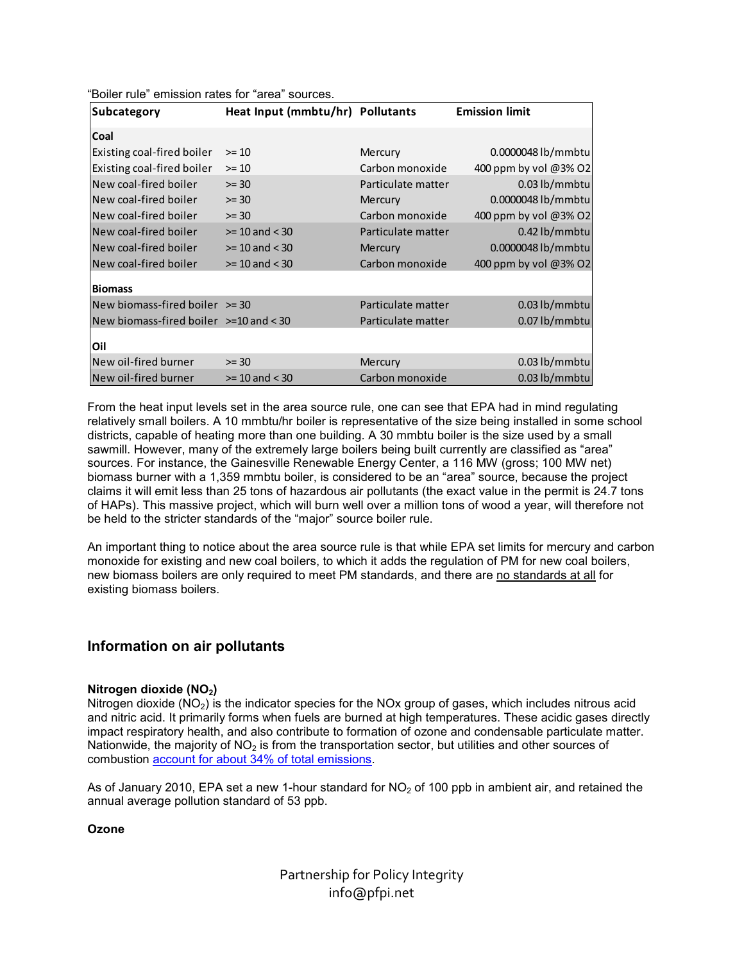| <b>Subcategory</b>                         | Heat Input (mmbtu/hr) Pollutants |                    | <b>Emission limit</b> |
|--------------------------------------------|----------------------------------|--------------------|-----------------------|
| Coal                                       |                                  |                    |                       |
| Existing coal-fired boiler                 | $>= 10$                          | Mercury            | 0.0000048 lb/mmbtu    |
| Existing coal-fired boiler                 | $>= 10$                          | Carbon monoxide    | 400 ppm by vol @3% O2 |
| New coal-fired boiler                      | $>= 30$                          | Particulate matter | $0.03$ lb/mmbtu       |
| New coal-fired boiler                      | $>= 30$                          | Mercury            | 0.0000048 lb/mmbtu    |
| New coal-fired boiler                      | $>= 30$                          | Carbon monoxide    | 400 ppm by vol @3% O2 |
| New coal-fired boiler                      | $>= 10$ and $< 30$               | Particulate matter | $0.42$ lb/mmbtu       |
| New coal-fired boiler                      | $>= 10$ and $< 30$               | Mercury            | 0.0000048 lb/mmbtu    |
| New coal-fired boiler                      | $>= 10$ and $< 30$               | Carbon monoxide    | 400 ppm by vol @3% O2 |
| <b>Biomass</b>                             |                                  |                    |                       |
| New biomass-fired boiler $\ge$ = 30        |                                  | Particulate matter | $0.03$ lb/mmbtu       |
| New biomass-fired boiler $\ge$ =10 and <30 |                                  | Particulate matter | $0.07$ lb/mmbtu       |
| Oil                                        |                                  |                    |                       |
| New oil-fired burner                       | $>= 30$                          | Mercury            | $0.03$ lb/mmbtu       |
| New oil-fired burner                       | $>= 10$ and $< 30$               | Carbon monoxide    | $0.03$ lb/mmbtu       |
|                                            |                                  |                    |                       |

From the heat input levels set in the area source rule, one can see that EPA had in mind regulating relatively small boilers. A 10 mmbtu/hr boiler is representative of the size being installed in some school districts, capable of heating more than one building. A 30 mmbtu boiler is the size used by a small sawmill. However, many of the extremely large boilers being built currently are classified as "area" sources. For instance, the Gainesville Renewable Energy Center, a 116 MW (gross; 100 MW net) biomass burner with a 1,359 mmbtu boiler, is considered to be an "area" source, because the project claims it will emit less than 25 tons of hazardous air pollutants (the exact value in the permit is 24.7 tons of HAPs). This massive project, which will burn well over a million tons of wood a year, will therefore not be held to the stricter standards of the "major" source boiler rule.

An important thing to notice about the area source rule is that while EPA set limits for mercury and carbon monoxide for existing and new coal boilers, to which it adds the regulation of PM for new coal boilers, new biomass boilers are only required to meet PM standards, and there are no standards at all for existing biomass boilers.

# **Information on air pollutants**

"Boiler rule" emission rates for "area" sources.

### **Nitrogen dioxide (NO2)**

Nitrogen dioxide  $(NO<sub>2</sub>)$  is the indicator species for the NOx group of gases, which includes nitrous acid and nitric acid. It primarily forms when fuels are burned at high temperatures. These acidic gases directly impact respiratory health, and also contribute to formation of ozone and condensable particulate matter. Nationwide, the majority of  $NO<sub>2</sub>$  is from the transportation sector, but utilities and other sources of combustion account for about 34% of total emissions.

As of January 2010, EPA set a new 1-hour standard for  $NO<sub>2</sub>$  of 100 ppb in ambient air, and retained the annual average pollution standard of 53 ppb.

**Ozone**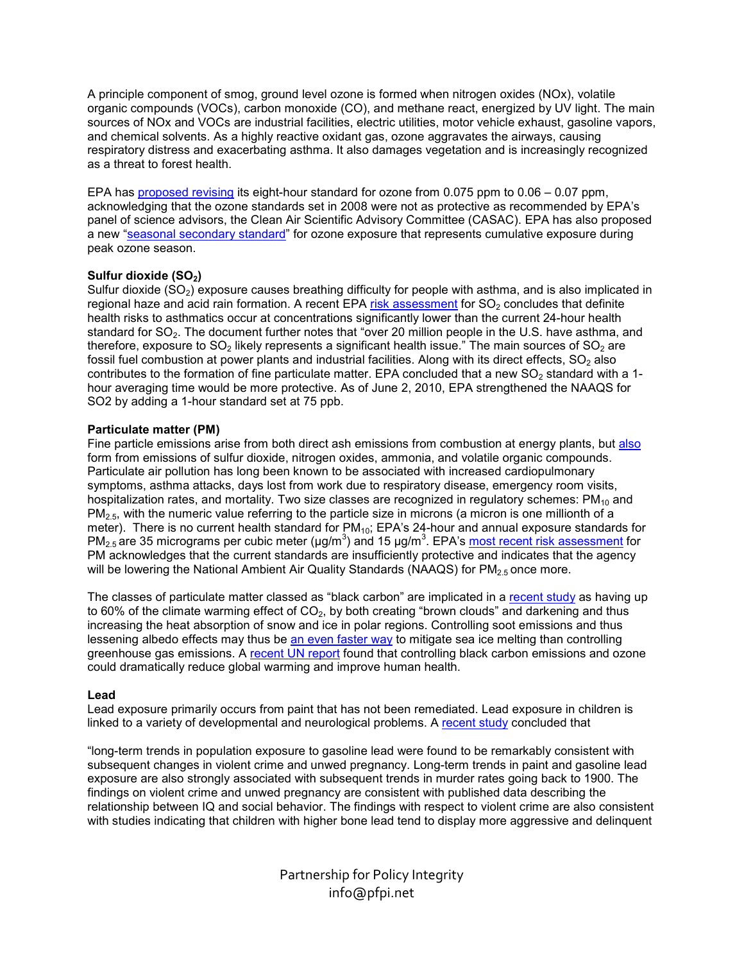A principle component of smog, ground level ozone is formed when nitrogen oxides (NOx), volatile organic compounds (VOCs), carbon monoxide (CO), and methane react, energized by UV light. The main sources of NOx and VOCs are industrial facilities, electric utilities, motor vehicle exhaust, gasoline vapors, and chemical solvents. As a highly reactive oxidant gas, ozone aggravates the airways, causing respiratory distress and exacerbating asthma. It also damages vegetation and is increasingly recognized as a threat to forest health.

EPA has proposed revising its eight-hour standard for ozone from 0.075 ppm to 0.06 – 0.07 ppm, acknowledging that the ozone standards set in 2008 were not as protective as recommended by EPA's panel of science advisors, the Clean Air Scientific Advisory Committee (CASAC). EPA has also proposed a new "seasonal secondary standard" for ozone exposure that represents cumulative exposure during peak ozone season.

### **Sulfur dioxide (SO2)**

Sulfur dioxide (SO<sub>2</sub>) exposure causes breathing difficulty for people with asthma, and is also implicated in regional haze and acid rain formation. A recent EPA risk assessment for  $SO<sub>2</sub>$  concludes that definite health risks to asthmatics occur at concentrations significantly lower than the current 24-hour health standard for SO<sub>2</sub>. The document further notes that "over 20 million people in the U.S. have asthma, and therefore, exposure to  $SO_2$  likely represents a significant health issue." The main sources of  $SO_2$  are fossil fuel combustion at power plants and industrial facilities. Along with its direct effects,  $SO<sub>2</sub>$  also contributes to the formation of fine particulate matter. EPA concluded that a new  $SO_2$  standard with a 1hour averaging time would be more protective. As of June 2, 2010, EPA strengthened the NAAQS for SO2 by adding a 1-hour standard set at 75 ppb.

### **Particulate matter (PM)**

Fine particle emissions arise from both direct ash emissions from combustion at energy plants, but also form from emissions of sulfur dioxide, nitrogen oxides, ammonia, and volatile organic compounds. Particulate air pollution has long been known to be associated with increased cardiopulmonary symptoms, asthma attacks, days lost from work due to respiratory disease, emergency room visits, hospitalization rates, and mortality. Two size classes are recognized in regulatory schemes:  $PM_{10}$  and  $PM<sub>2.5</sub>$ , with the numeric value referring to the particle size in microns (a micron is one millionth of a meter). There is no current health standard for  $PM_{10}$ ; EPA's 24-hour and annual exposure standards for PM<sub>2.5</sub> are 35 micrograms per cubic meter (µg/m<sup>3</sup>) and 15 µg/m<sup>3</sup>. EPA's most recent risk assessment for PM acknowledges that the current standards are insufficiently protective and indicates that the agency will be lowering the National Ambient Air Quality Standards (NAAQS) for  $PM<sub>2.5</sub>$  once more.

The classes of particulate matter classed as "black carbon" are implicated in a recent study as having up to 60% of the climate warming effect of  $CO<sub>2</sub>$ , by both creating "brown clouds" and darkening and thus increasing the heat absorption of snow and ice in polar regions. Controlling soot emissions and thus lessening albedo effects may thus be an even faster way to mitigate sea ice melting than controlling greenhouse gas emissions. A recent UN report found that controlling black carbon emissions and ozone could dramatically reduce global warming and improve human health.

### **Lead**

Lead exposure primarily occurs from paint that has not been remediated. Lead exposure in children is linked to a variety of developmental and neurological problems. A recent study concluded that

"long-term trends in population exposure to gasoline lead were found to be remarkably consistent with subsequent changes in violent crime and unwed pregnancy. Long-term trends in paint and gasoline lead exposure are also strongly associated with subsequent trends in murder rates going back to 1900. The findings on violent crime and unwed pregnancy are consistent with published data describing the relationship between IQ and social behavior. The findings with respect to violent crime are also consistent with studies indicating that children with higher bone lead tend to display more aggressive and delinquent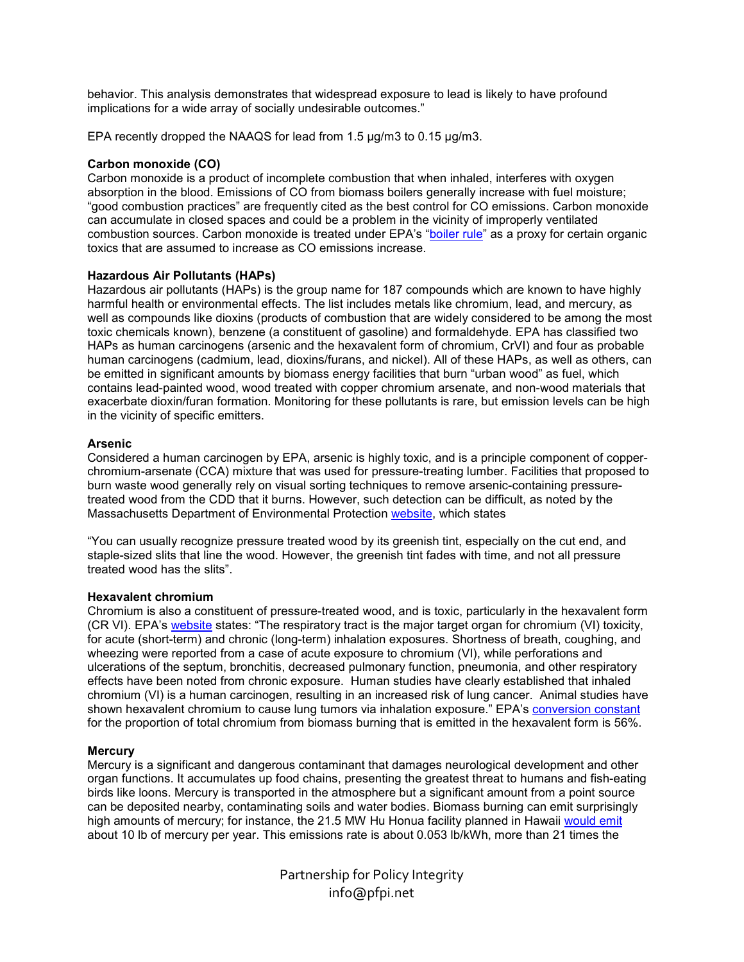behavior. This analysis demonstrates that widespread exposure to lead is likely to have profound implications for a wide array of socially undesirable outcomes."

EPA recently dropped the NAAQS for lead from 1.5 µg/m3 to 0.15 µg/m3.

### **Carbon monoxide (CO)**

Carbon monoxide is a product of incomplete combustion that when inhaled, interferes with oxygen absorption in the blood. Emissions of CO from biomass boilers generally increase with fuel moisture; "good combustion practices" are frequently cited as the best control for CO emissions. Carbon monoxide can accumulate in closed spaces and could be a problem in the vicinity of improperly ventilated combustion sources. Carbon monoxide is treated under EPA's "boiler rule" as a proxy for certain organic toxics that are assumed to increase as CO emissions increase.

### **Hazardous Air Pollutants (HAPs)**

Hazardous air pollutants (HAPs) is the group name for 187 compounds which are known to have highly harmful health or environmental effects. The list includes metals like chromium, lead, and mercury, as well as compounds like dioxins (products of combustion that are widely considered to be among the most toxic chemicals known), benzene (a constituent of gasoline) and formaldehyde. EPA has classified two HAPs as human carcinogens (arsenic and the hexavalent form of chromium, CrVI) and four as probable human carcinogens (cadmium, lead, dioxins/furans, and nickel). All of these HAPs, as well as others, can be emitted in significant amounts by biomass energy facilities that burn "urban wood" as fuel, which contains lead-painted wood, wood treated with copper chromium arsenate, and non-wood materials that exacerbate dioxin/furan formation. Monitoring for these pollutants is rare, but emission levels can be high in the vicinity of specific emitters.

### **Arsenic**

Considered a human carcinogen by EPA, arsenic is highly toxic, and is a principle component of copperchromium-arsenate (CCA) mixture that was used for pressure-treating lumber. Facilities that proposed to burn waste wood generally rely on visual sorting techniques to remove arsenic-containing pressuretreated wood from the CDD that it burns. However, such detection can be difficult, as noted by the Massachusetts Department of Environmental Protection website, which states

"You can usually recognize pressure treated wood by its greenish tint, especially on the cut end, and staple-sized slits that line the wood. However, the greenish tint fades with time, and not all pressure treated wood has the slits".

### **Hexavalent chromium**

Chromium is also a constituent of pressure-treated wood, and is toxic, particularly in the hexavalent form (CR VI). EPA's website states: "The respiratory tract is the major target organ for chromium (VI) toxicity, for acute (short-term) and chronic (long-term) inhalation exposures. Shortness of breath, coughing, and wheezing were reported from a case of acute exposure to chromium (VI), while perforations and ulcerations of the septum, bronchitis, decreased pulmonary function, pneumonia, and other respiratory effects have been noted from chronic exposure. Human studies have clearly established that inhaled chromium (VI) is a human carcinogen, resulting in an increased risk of lung cancer. Animal studies have shown hexavalent chromium to cause lung tumors via inhalation exposure." EPA's conversion constant for the proportion of total chromium from biomass burning that is emitted in the hexavalent form is 56%.

### **Mercury**

Mercury is a significant and dangerous contaminant that damages neurological development and other organ functions. It accumulates up food chains, presenting the greatest threat to humans and fish-eating birds like loons. Mercury is transported in the atmosphere but a significant amount from a point source can be deposited nearby, contaminating soils and water bodies. Biomass burning can emit surprisingly high amounts of mercury; for instance, the 21.5 MW Hu Honua facility planned in Hawaii would emit about 10 lb of mercury per year. This emissions rate is about 0.053 lb/kWh, more than 21 times the